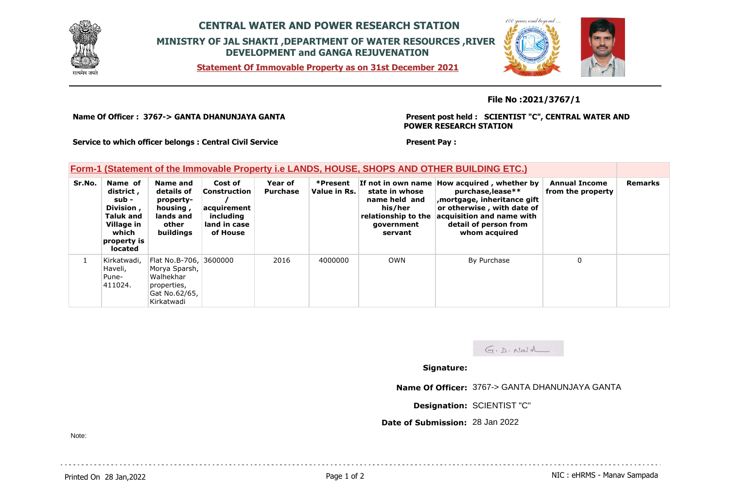

## **CENTRAL WATER AND POWER RESEARCH STATION MINISTRY OF JAL SHAKTI ,DEPARTMENT OF WATER RESOURCES ,RIVER DEVELOPMENT and GANGA REJUVENATION**

**Statement Of Immovable Property as on 31st December 2021**



## **File No :2021/3767/1**

**Name Of Officer : 3767-> GANTA DHANUNJAYA GANTA** 

**Present post held : SCIENTIST "C", CENTRAL WATER AND POWER RESEARCH STATION**

**Service to which officer belongs : Central Civil Service**

## **Form-1 (Statement of the Immovable Property i.e LANDS, HOUSE, SHOPS AND OTHER BUILDING ETC.)**

| Sr.No. | Name of<br>district,<br>sub -<br>Division,<br><b>Taluk and</b><br>Village in<br>which<br>property is<br>located | Name and<br>details of<br>property-<br>housing,<br>lands and<br>other<br>buildings                 | Cost of<br><b>Construction</b><br>acquirement<br>including<br>land in case<br>of House | Year of<br><b>Purchase</b> | *Present<br>Value in Rs. | If not in own name<br>state in whose<br>name held and<br>his/her<br>relationship to the<br>government<br>servant | How acquired, whether by<br>purchase, lease**<br>mortgage, inheritance gift<br>or otherwise, with date of<br>acquisition and name with<br>detail of person from<br>whom acquired | <b>Annual Income</b><br>from the property | <b>Remarks</b> |
|--------|-----------------------------------------------------------------------------------------------------------------|----------------------------------------------------------------------------------------------------|----------------------------------------------------------------------------------------|----------------------------|--------------------------|------------------------------------------------------------------------------------------------------------------|----------------------------------------------------------------------------------------------------------------------------------------------------------------------------------|-------------------------------------------|----------------|
|        | Kirkatwadi,<br>Haveli,<br>Pune-<br>411024.                                                                      | Flat No.B-706, 3600000<br>Morya Sparsh,<br>Walhekhar<br>properties,<br>Gat No.62/65,<br>Kirkatwadi |                                                                                        | 2016                       | 4000000                  | <b>OWN</b>                                                                                                       | By Purchase                                                                                                                                                                      | 0                                         |                |

 $G.D.$  Naid

## **Signature:**

**Present Pay :** 

**Name Of Officer:** 3767-> GANTA DHANUNJAYA GANTA

**Designation:** SCIENTIST "C"

**Date of Submission:** 28 Jan 2022

Note: